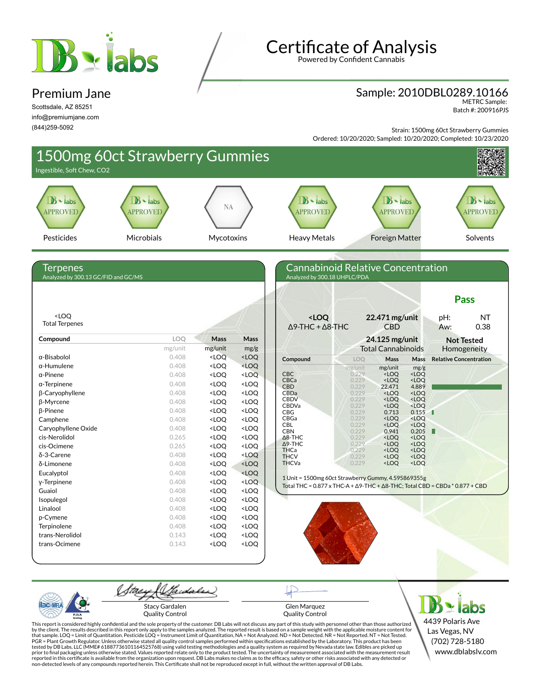# Balabs

#### Premium Jane

Scottsdale, AZ 85251 info@premiumjane.com (844)259-5092

## **Certificate of Analysis**

Powered by Confident Cannabis

### Sample: 2010DBL0289.10166 METRC Sample:

Batch #: 200916PJS

Strain: 1500mg 60ct Strawberry Gummies Ordered: 10/20/2020; Sampled: 10/20/2020; Completed: 10/23/2020



Quality Control

Glen Marquez Quality Control

4439 Polaris Ave Las Vegas, NV (702) 728-5180 www.dblabslv.com

This report is considered highly confidential and the sole property of the customer. DB Labs will not discuss any part of this study with personnel other than those authorized<br>by the client. The results described in this r tested by DB Labs, LLC (MME# 61887736101164525768) using valid testing methodologies and a quality system as required by Nevada state law. Edibles are picked up<br>prior to final packaging unless otherwise stated. Values repo